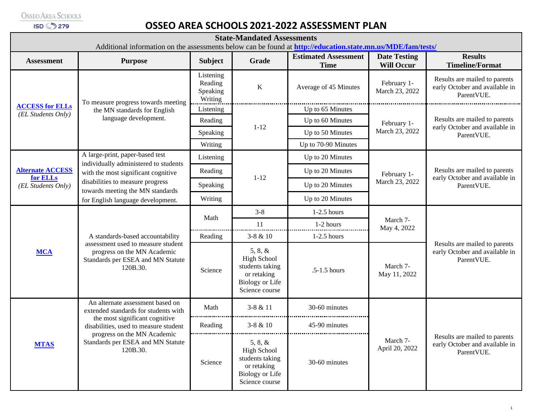**ISD 3279** 

## **OSSEO AREA SCHOOLS 2021-2022 ASSESSMENT PLAN**

| <b>State-Mandated Assessments</b><br>Additional information on the assessments below can be found at http://education.state.mn.us/MDE/fam/tests/ |                                                                                                                                                                                                                                     |                                             |                                                                                                             |                                            |                                          |                                                                               |  |  |  |  |
|--------------------------------------------------------------------------------------------------------------------------------------------------|-------------------------------------------------------------------------------------------------------------------------------------------------------------------------------------------------------------------------------------|---------------------------------------------|-------------------------------------------------------------------------------------------------------------|--------------------------------------------|------------------------------------------|-------------------------------------------------------------------------------|--|--|--|--|
| <b>Assessment</b>                                                                                                                                | <b>Purpose</b>                                                                                                                                                                                                                      | <b>Subject</b>                              | Grade                                                                                                       | <b>Estimated Assessment</b><br><b>Time</b> | <b>Date Testing</b><br><b>Will Occur</b> | <b>Results</b><br><b>Timeline/Format</b>                                      |  |  |  |  |
| <b>ACCESS for ELLs</b><br>(EL Students Only)                                                                                                     | To measure progress towards meeting<br>the MN standards for English<br>language development.                                                                                                                                        | Listening<br>Reading<br>Speaking<br>Writing | $\bf K$                                                                                                     | Average of 45 Minutes                      | February 1-<br>March 23, 2022            | Results are mailed to parents<br>early October and available in<br>ParentVUE. |  |  |  |  |
|                                                                                                                                                  |                                                                                                                                                                                                                                     | Listening                                   | $1 - 12$                                                                                                    | Up to 65 Minutes                           | February 1-<br>March 23, 2022            | Results are mailed to parents<br>early October and available in<br>ParentVUE. |  |  |  |  |
|                                                                                                                                                  |                                                                                                                                                                                                                                     | Reading                                     |                                                                                                             | Up to 60 Minutes                           |                                          |                                                                               |  |  |  |  |
|                                                                                                                                                  |                                                                                                                                                                                                                                     | Speaking                                    |                                                                                                             | Up to 50 Minutes                           |                                          |                                                                               |  |  |  |  |
|                                                                                                                                                  |                                                                                                                                                                                                                                     | Writing                                     |                                                                                                             | Up to 70-90 Minutes                        |                                          |                                                                               |  |  |  |  |
| <b>Alternate ACCESS</b><br>for ELLs<br>(EL Students Only)                                                                                        | A large-print, paper-based test<br>individually administered to students<br>with the most significant cognitive<br>disabilities to measure progress<br>towards meeting the MN standards<br>for English language development.        | Listening                                   | $1 - 12$                                                                                                    | Up to 20 Minutes                           | February 1-<br>March 23, 2022            | Results are mailed to parents<br>early October and available in<br>ParentVUE. |  |  |  |  |
|                                                                                                                                                  |                                                                                                                                                                                                                                     | Reading                                     |                                                                                                             | Up to 20 Minutes                           |                                          |                                                                               |  |  |  |  |
|                                                                                                                                                  |                                                                                                                                                                                                                                     | Speaking                                    |                                                                                                             | Up to 20 Minutes                           |                                          |                                                                               |  |  |  |  |
|                                                                                                                                                  |                                                                                                                                                                                                                                     | Writing                                     |                                                                                                             | Up to 20 Minutes                           |                                          |                                                                               |  |  |  |  |
| <b>MCA</b>                                                                                                                                       | A standards-based accountability<br>assessment used to measure student<br>progress on the MN Academic<br>Standards per ESEA and MN Statute<br>120B.30.                                                                              | Math                                        | $3 - 8$                                                                                                     | $1-2.5$ hours                              | March 7-<br>May 4, 2022                  | Results are mailed to parents<br>early October and available in<br>ParentVUE. |  |  |  |  |
|                                                                                                                                                  |                                                                                                                                                                                                                                     |                                             | 11                                                                                                          | 1-2 hours                                  |                                          |                                                                               |  |  |  |  |
|                                                                                                                                                  |                                                                                                                                                                                                                                     | Reading                                     | $3-8 & 10$                                                                                                  | $1-2.5$ hours                              |                                          |                                                                               |  |  |  |  |
|                                                                                                                                                  |                                                                                                                                                                                                                                     | Science                                     | 5, 8, 8<br><b>High School</b><br>students taking<br>or retaking<br><b>Biology or Life</b><br>Science course | .5-1.5 hours                               | March 7-<br>May 11, 2022                 |                                                                               |  |  |  |  |
| <b>MTAS</b>                                                                                                                                      | An alternate assessment based on<br>extended standards for students with<br>the most significant cognitive<br>disabilities, used to measure student<br>progress on the MN Academic<br>Standards per ESEA and MN Statute<br>120B.30. | Math                                        | $3 - 8 & 11$<br>.                                                                                           | 30-60 minutes                              | March 7-<br>April 20, 2022               | Results are mailed to parents<br>early October and available in<br>ParentVUE. |  |  |  |  |
|                                                                                                                                                  |                                                                                                                                                                                                                                     | Reading                                     | $3 - 8 & 10$                                                                                                | 45-90 minutes                              |                                          |                                                                               |  |  |  |  |
|                                                                                                                                                  |                                                                                                                                                                                                                                     | Science                                     | 5, 8, 8<br><b>High School</b><br>students taking<br>or retaking<br><b>Biology or Life</b><br>Science course | 30-60 minutes                              |                                          |                                                                               |  |  |  |  |